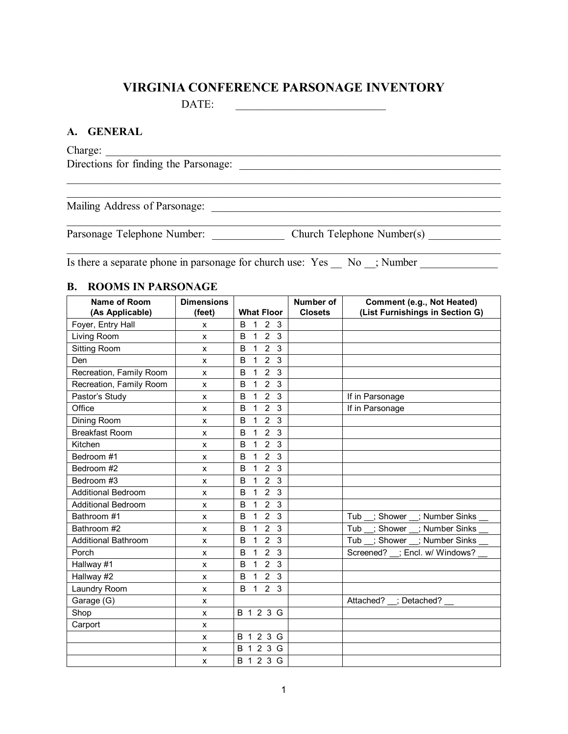### **VIRGINIA CONFERENCE PARSONAGE INVENTORY**

DATE: \_\_\_\_\_\_\_\_\_\_\_\_\_\_\_\_\_\_\_\_\_\_\_\_\_\_\_

#### **A. GENERAL**

Charge: \_\_\_\_\_\_\_\_\_\_\_\_\_\_\_\_\_\_\_\_\_\_\_\_\_\_\_\_\_\_\_\_\_\_\_\_\_\_\_\_\_\_\_\_\_\_\_\_\_\_\_\_\_\_\_\_\_\_\_\_\_\_\_\_\_\_\_\_\_\_\_ Directions for finding the Parsonage:  $\mathcal{L}_\mathcal{L} = \{ \mathcal{L}_\mathcal{L} = \{ \mathcal{L}_\mathcal{L} = \{ \mathcal{L}_\mathcal{L} = \{ \mathcal{L}_\mathcal{L} = \{ \mathcal{L}_\mathcal{L} = \{ \mathcal{L}_\mathcal{L} = \{ \mathcal{L}_\mathcal{L} = \{ \mathcal{L}_\mathcal{L} = \{ \mathcal{L}_\mathcal{L} = \{ \mathcal{L}_\mathcal{L} = \{ \mathcal{L}_\mathcal{L} = \{ \mathcal{L}_\mathcal{L} = \{ \mathcal{L}_\mathcal{L} = \{ \mathcal{L}_\mathcal{$  $\mathcal{L}_\text{max} = \frac{1}{2} \sum_{i=1}^n \frac{1}{2} \sum_{j=1}^n \frac{1}{2} \sum_{j=1}^n \frac{1}{2} \sum_{j=1}^n \frac{1}{2} \sum_{j=1}^n \frac{1}{2} \sum_{j=1}^n \frac{1}{2} \sum_{j=1}^n \frac{1}{2} \sum_{j=1}^n \frac{1}{2} \sum_{j=1}^n \frac{1}{2} \sum_{j=1}^n \frac{1}{2} \sum_{j=1}^n \frac{1}{2} \sum_{j=1}^n \frac{1}{2} \sum_{j=1}^n$ Mailing Address of Parsonage: \_\_\_\_\_\_\_\_\_\_\_\_\_\_\_\_\_\_\_\_\_\_\_\_\_\_\_\_\_\_\_\_\_\_\_\_\_\_\_\_\_\_\_\_\_\_\_\_\_\_\_\_  $\mathcal{L}_\mathcal{L} = \{ \mathcal{L}_\mathcal{L} = \{ \mathcal{L}_\mathcal{L} = \{ \mathcal{L}_\mathcal{L} = \{ \mathcal{L}_\mathcal{L} = \{ \mathcal{L}_\mathcal{L} = \{ \mathcal{L}_\mathcal{L} = \{ \mathcal{L}_\mathcal{L} = \{ \mathcal{L}_\mathcal{L} = \{ \mathcal{L}_\mathcal{L} = \{ \mathcal{L}_\mathcal{L} = \{ \mathcal{L}_\mathcal{L} = \{ \mathcal{L}_\mathcal{L} = \{ \mathcal{L}_\mathcal{L} = \{ \mathcal{L}_\mathcal{$ Parsonage Telephone Number: \_\_\_\_\_\_\_\_\_\_\_\_\_\_ Church Telephone Number(s)  $\frac{1}{2}$  ,  $\frac{1}{2}$  ,  $\frac{1}{2}$  ,  $\frac{1}{2}$  ,  $\frac{1}{2}$  ,  $\frac{1}{2}$  ,  $\frac{1}{2}$  ,  $\frac{1}{2}$  ,  $\frac{1}{2}$  ,  $\frac{1}{2}$  ,  $\frac{1}{2}$  ,  $\frac{1}{2}$  ,  $\frac{1}{2}$  ,  $\frac{1}{2}$  ,  $\frac{1}{2}$  ,  $\frac{1}{2}$  ,  $\frac{1}{2}$  ,  $\frac{1}{2}$  ,  $\frac{1$ 

Is there a separate phone in parsonage for church use: Yes \_\_ No \_\_; Number \_\_\_\_\_\_\_\_\_\_\_\_\_\_\_\_\_\_\_\_\_\_\_\_\_\_\_\_\_\_\_\_\_\_

#### **B. ROOMS IN PARSONAGE**

| <b>Name of Room</b><br>(As Applicable) | <b>Dimensions</b><br>(feet) | <b>What Floor</b>                                   | Number of<br><b>Closets</b> | Comment (e.g., Not Heated)<br>(List Furnishings in Section G) |  |
|----------------------------------------|-----------------------------|-----------------------------------------------------|-----------------------------|---------------------------------------------------------------|--|
| Foyer, Entry Hall                      | $\mathsf{x}$                | $123$<br>B                                          |                             |                                                               |  |
| Living Room                            | x                           | $\mathbf 1$<br>2 <sub>3</sub><br>B                  |                             |                                                               |  |
| <b>Sitting Room</b>                    | X                           | $2\overline{3}$<br>$\mathbf{1}$<br>B                |                             |                                                               |  |
| Den                                    | X                           | 2 <sub>3</sub><br>$\overline{1}$<br>B               |                             |                                                               |  |
| Recreation, Family Room                | X                           | 2 <sub>3</sub><br>$\mathbf{1}$<br>B                 |                             |                                                               |  |
| Recreation, Family Room                | X                           | 2 <sub>3</sub><br>$\mathbf{1}$<br>B                 |                             |                                                               |  |
| Pastor's Study                         | X                           | 2 <sub>3</sub><br>$\mathbf{1}$<br>B                 |                             | If in Parsonage                                               |  |
| Office                                 | X                           | $\overline{2}$<br>$\mathbf{3}$<br>B<br>$\mathbf{1}$ |                             | If in Parsonage                                               |  |
| Dining Room                            | x                           | 2 <sub>3</sub><br>B<br>$\mathbf{1}$                 |                             |                                                               |  |
| <b>Breakfast Room</b>                  | X                           | 2 <sub>3</sub><br>$\mathbf{1}$<br>B                 |                             |                                                               |  |
| Kitchen                                | X                           | 2 <sub>3</sub><br>$\mathbf{1}$<br>B                 |                             |                                                               |  |
| Bedroom #1                             | X                           | 2 <sub>3</sub><br>$\overline{1}$<br>B               |                             |                                                               |  |
| Bedroom #2                             | X                           | 2 <sub>3</sub><br>$\mathbf{1}$<br>B                 |                             |                                                               |  |
| Bedroom #3                             | x                           | 2 <sub>3</sub><br>$\overline{1}$<br>B               |                             |                                                               |  |
| <b>Additional Bedroom</b>              | X                           | 2 <sub>3</sub><br>$\mathbf{1}$<br>B                 |                             |                                                               |  |
| <b>Additional Bedroom</b>              | X                           | 2 <sub>3</sub><br>$\mathbf{1}$<br>B                 |                             |                                                               |  |
| Bathroom #1                            | X.                          | 2<br>3<br>$\mathbf{1}$<br>B                         |                             | Tub _; Shower _; Number Sinks _                               |  |
| Bathroom #2                            | X                           | $\overline{2}$<br>$\mathbf{3}$<br>B<br>$\mathbf{1}$ |                             | Tub _; Shower _; Number Sinks _                               |  |
| <b>Additional Bathroom</b>             | x                           | 2 <sub>3</sub><br>B<br>$\mathbf{1}$                 |                             | Tub _; Shower _; Number Sinks _                               |  |
| Porch                                  | X                           | 2 <sub>3</sub><br>$\mathbf{1}$<br>B                 |                             | Screened? _; Encl. w/ Windows?                                |  |
| Hallway #1                             | X                           | 2 <sub>3</sub><br>$\mathbf{1}$<br>B                 |                             |                                                               |  |
| Hallway #2                             | X                           | 2 <sub>3</sub><br>$\overline{1}$<br>B               |                             |                                                               |  |
| Laundry Room                           | x                           | 2 <sub>3</sub><br>B<br>$\mathbf{1}$                 |                             |                                                               |  |
| Garage (G)                             | X.                          |                                                     |                             | Attached? _; Detached? _                                      |  |
| Shop                                   | X                           | B 1 2 3 G                                           |                             |                                                               |  |
| Carport                                | x                           |                                                     |                             |                                                               |  |
|                                        | X                           | B 1 2 3 G                                           |                             |                                                               |  |
|                                        | x                           | B 1 2 3 G                                           |                             |                                                               |  |
|                                        | $\mathsf{x}$                | B 1 2 3 G                                           |                             |                                                               |  |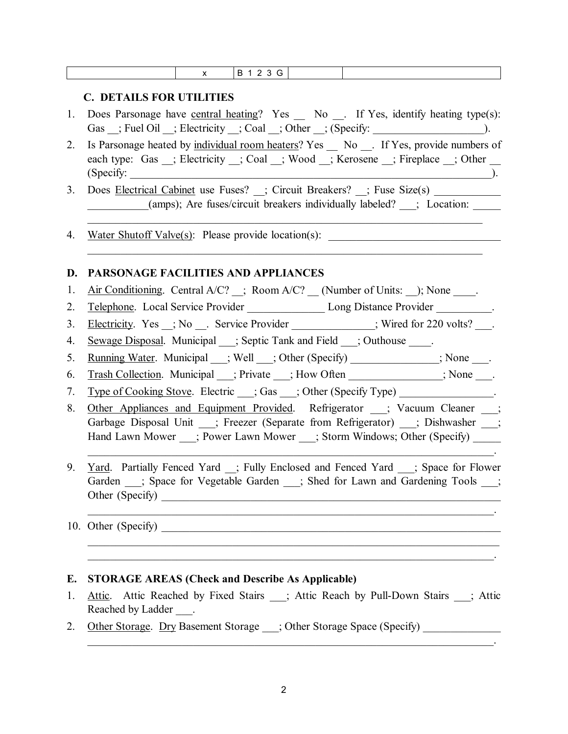|    | B 1 2 3 G<br>$\mathsf{x}$                                                                                            |
|----|----------------------------------------------------------------------------------------------------------------------|
|    |                                                                                                                      |
| 1. | <b>C. DETAILS FOR UTILITIES</b><br>Does Parsonage have central heating? Yes _ No _ If Yes, identify heating type(s): |
|    | Gas _; Fuel Oil _; Electricity _; Coal _; Other _; (Specify: ____________________                                    |
| 2. | Is Parsonage heated by individual room heaters? Yes _ No _. If Yes, provide numbers of                               |
|    | each type: Gas _; Electricity _; Coal _; Wood _; Kerosene _; Fireplace _; Other _                                    |
|    | (Specify:                                                                                                            |
| 3. | Does Electrical Cabinet use Fuses? _; Circuit Breakers? _; Fuse Size(s) ________                                     |
|    | (amps); Are fuses/circuit breakers individually labeled? __; Location: ___                                           |
| 4. | Water Shutoff Valve $(s)$ : Please provide location $(s)$ :                                                          |
|    |                                                                                                                      |
| D. | PARSONAGE FACILITIES AND APPLIANCES                                                                                  |
| 1. | $Air$ Conditioning. Central A/C? $\quad$ ; Room A/C? $\quad$ (Number of Units: $\quad$ ); None $\quad$ .             |
| 2. | Telephone. Local Service Provider _________________ Long Distance Provider ________.                                 |
| 3. | Electricity. Yes _; No __. Service Provider ___________; Wired for 220 volts? ___.                                   |
| 4. | Sewage Disposal. Municipal __; Septic Tank and Field __; Outhouse ____.                                              |
| 5. | <u>Running Water</u> . Municipal __; Well __; Other (Specify) ____________; None ___.                                |
| 6. | Trash Collection. Municipal __; Private __; How Often ____________; None ___.                                        |
| 7. | Type of Cooking Stove. Electric __; Gas __; Other (Specify Type) ______________.                                     |
| 8. | Other Appliances and Equipment Provided. Refrigerator _; Vacuum Cleaner _;                                           |
|    | Garbage Disposal Unit __; Freezer (Separate from Refrigerator) __; Dishwasher __;                                    |
|    | Hand Lawn Mower ___; Power Lawn Mower ___; Storm Windows; Other (Specify) _____                                      |
| 9. | <u>Yard</u> . Partially Fenced Yard _; Fully Enclosed and Fenced Yard __; Space for Flower                           |
|    | Garden __; Space for Vegetable Garden __; Shed for Lawn and Gardening Tools __;                                      |
|    |                                                                                                                      |
|    |                                                                                                                      |
|    |                                                                                                                      |
|    | ,我们也不能在这里的时候,我们也不能在这里的时候,我们也不能会在这里的时候,我们也不能会在这里的时候,我们也不能会在这里的时候,我们也不能会在这里的时候,我们也                                     |
| Е. | <b>STORAGE AREAS (Check and Describe As Applicable)</b>                                                              |
| 1. | Attic. Attic Reached by Fixed Stairs __; Attic Reach by Pull-Down Stairs __; Attic                                   |
|    | Reached by Ladder ____.                                                                                              |
| 2. | Other Storage. Dry Basement Storage __; Other Storage Space (Specify)                                                |

2

 $\mathcal{L}_\text{max}$  and  $\mathcal{L}_\text{max}$  and  $\mathcal{L}_\text{max}$  and  $\mathcal{L}_\text{max}$  and  $\mathcal{L}_\text{max}$  and  $\mathcal{L}_\text{max}$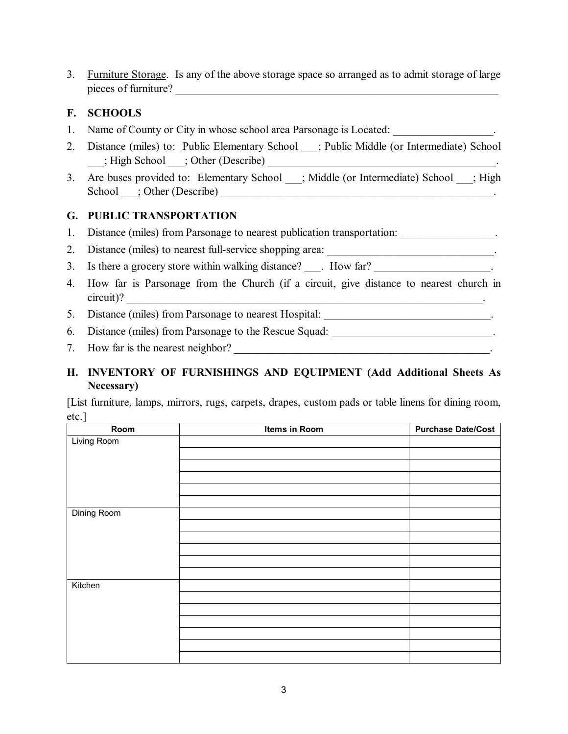3. Furniture Storage. Is any of the above storage space so arranged as to admit storage of large pieces of furniture?

## **F. SCHOOLS**

- 1. Name of County or City in whose school area Parsonage is Located:
- 2. Distance (miles) to: Public Elementary School \_\_\_; Public Middle (or Intermediate) School \_\_\_; High School \_\_\_; Other (Describe) \_\_\_\_\_\_\_\_\_\_\_\_\_\_\_\_\_\_\_\_\_\_\_\_\_\_\_\_\_\_\_\_\_\_\_\_\_\_\_\_\_.
- 3. Are buses provided to: Elementary School \_\_\_; Middle (or Intermediate) School \_\_; High School \_\_\_; Other (Describe) \_\_\_\_\_\_\_\_\_\_\_\_\_\_\_\_\_\_\_\_\_\_\_\_\_\_\_\_\_\_\_\_\_\_\_\_\_\_\_\_\_\_\_\_\_\_\_\_\_.

### **G. PUBLIC TRANSPORTATION**

1. Distance (miles) from Parsonage to nearest publication transportation:

- 2. Distance (miles) to nearest full-service shopping area:
- 3. Is there a grocery store within walking distance? For How far?
- 4. How far is Parsonage from the Church (if a circuit, give distance to nearest church in circuit)?
- 5. Distance (miles) from Parsonage to nearest Hospital: \_\_\_\_\_\_\_\_\_\_\_\_\_\_\_\_\_\_\_\_\_\_\_\_\_
- 6. Distance (miles) from Parsonage to the Rescue Squad: \_\_\_\_\_\_\_\_\_\_\_\_\_\_\_\_\_\_\_\_\_\_\_\_\_\_\_\_\_\_.
- 7. How far is the nearest neighbor? \_\_\_\_\_\_\_\_\_\_\_\_\_\_\_\_\_\_\_\_\_\_\_\_\_\_\_\_\_\_\_\_\_\_\_\_\_\_\_\_\_\_\_\_\_\_.

## **H. INVENTORY OF FURNISHINGS AND EQUIPMENT (Add Additional Sheets As Necessary)**

[List furniture, lamps, mirrors, rugs, carpets, drapes, custom pads or table linens for dining room, etc.]

| Room        | Items in Room | <b>Purchase Date/Cost</b> |
|-------------|---------------|---------------------------|
| Living Room |               |                           |
|             |               |                           |
|             |               |                           |
|             |               |                           |
|             |               |                           |
|             |               |                           |
| Dining Room |               |                           |
|             |               |                           |
|             |               |                           |
|             |               |                           |
|             |               |                           |
|             |               |                           |
| Kitchen     |               |                           |
|             |               |                           |
|             |               |                           |
|             |               |                           |
|             |               |                           |
|             |               |                           |
|             |               |                           |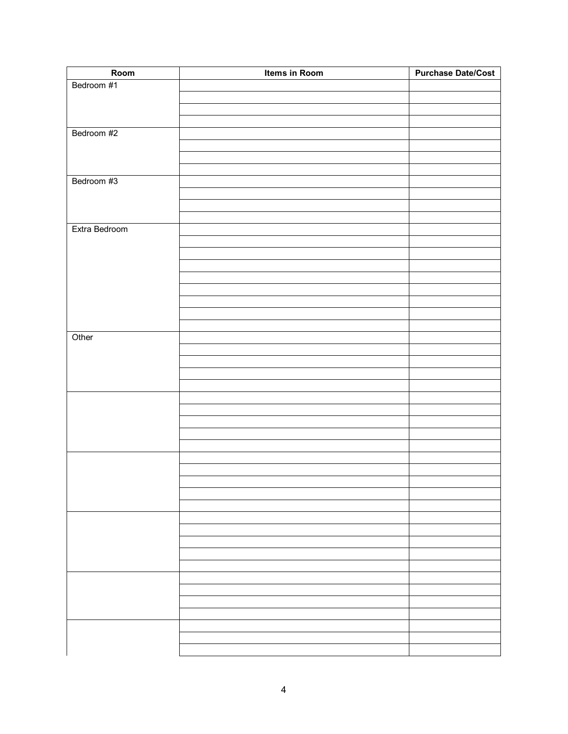| Room          | Items in Room | <b>Purchase Date/Cost</b> |
|---------------|---------------|---------------------------|
| Bedroom #1    |               |                           |
|               |               |                           |
|               |               |                           |
|               |               |                           |
| Bedroom #2    |               |                           |
|               |               |                           |
|               |               |                           |
|               |               |                           |
| Bedroom #3    |               |                           |
|               |               |                           |
|               |               |                           |
|               |               |                           |
| Extra Bedroom |               |                           |
|               |               |                           |
|               |               |                           |
|               |               |                           |
|               |               |                           |
|               |               |                           |
|               |               |                           |
|               |               |                           |
|               |               |                           |
| Other         |               |                           |
|               |               |                           |
|               |               |                           |
|               |               |                           |
|               |               |                           |
|               |               |                           |
|               |               |                           |
|               |               |                           |
|               |               |                           |
|               |               |                           |
|               |               |                           |
|               |               |                           |
|               |               |                           |
|               |               |                           |
|               |               |                           |
|               |               |                           |
|               |               |                           |
|               |               |                           |
|               |               |                           |
|               |               |                           |
|               |               |                           |
|               |               |                           |
|               |               |                           |
|               |               |                           |
|               |               |                           |
|               |               |                           |
|               |               |                           |